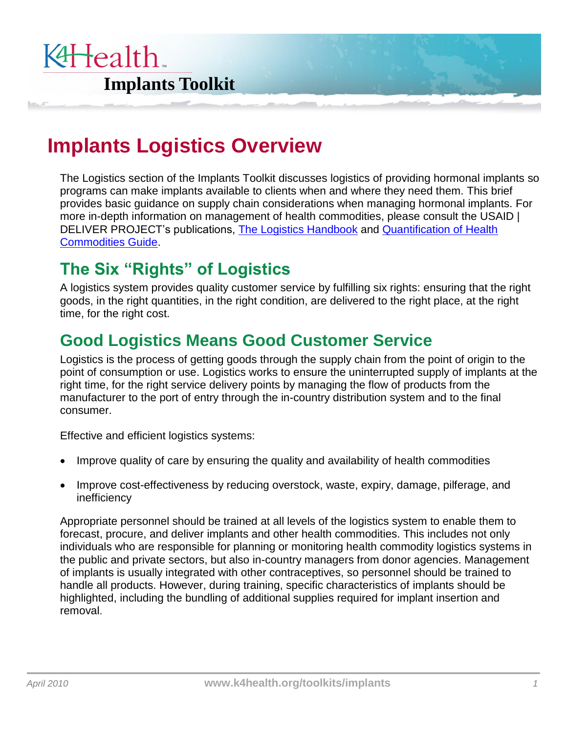

# **Implants Logistics Overview**

The Logistics section of the Implants Toolkit discusses logistics of providing hormonal implants so programs can make implants available to clients when and where they need them. This brief provides basic guidance on supply chain considerations when managing hormonal implants. For more in-depth information on management of health commodities, please consult the USAID | DELIVER PROJECT's publications, [The Logistics Handbook](http://deliver.jsi.com/dlvr_content/resources/allpubs/guidelines/LogiHand.pdf) and [Quantification of Health](http://deliver.jsi.com/dlvr_content/resources/allpubs/guidelines/QuantHealthComm.pdf)  [Commodities Guide.](http://deliver.jsi.com/dlvr_content/resources/allpubs/guidelines/QuantHealthComm.pdf)

# **The Six "Rights" of Logistics**

A logistics system provides quality customer service by fulfilling six rights: ensuring that the right goods, in the right quantities, in the right condition, are delivered to the right place, at the right time, for the right cost.

### **Good Logistics Means Good Customer Service**

Logistics is the process of getting goods through the supply chain from the point of origin to the point of consumption or use. Logistics works to ensure the uninterrupted supply of implants at the right time, for the right service delivery points by managing the flow of products from the manufacturer to the port of entry through the in-country distribution system and to the final consumer.

Effective and efficient logistics systems:

- Improve quality of care by ensuring the quality and availability of health commodities
- Improve cost-effectiveness by reducing overstock, waste, expiry, damage, pilferage, and inefficiency

Appropriate personnel should be trained at all levels of the logistics system to enable them to forecast, procure, and deliver implants and other health commodities. This includes not only individuals who are responsible for planning or monitoring health commodity logistics systems in the public and private sectors, but also in-country managers from donor agencies. Management of implants is usually integrated with other contraceptives, so personnel should be trained to handle all products. However, during training, specific characteristics of implants should be highlighted, including the bundling of additional supplies required for implant insertion and removal.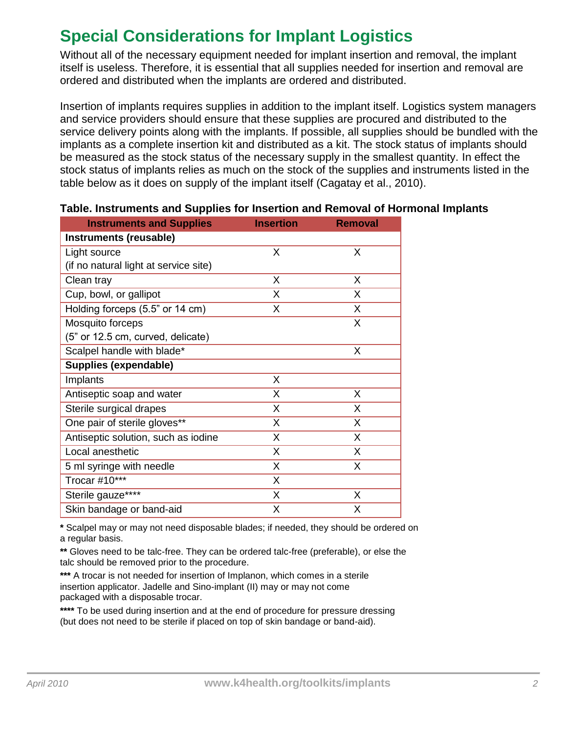# **Special Considerations for Implant Logistics**

Without all of the necessary equipment needed for implant insertion and removal, the implant itself is useless. Therefore, it is essential that all supplies needed for insertion and removal are ordered and distributed when the implants are ordered and distributed.

Insertion of implants requires supplies in addition to the implant itself. Logistics system managers and service providers should ensure that these supplies are procured and distributed to the service delivery points along with the implants. If possible, all supplies should be bundled with the implants as a complete insertion kit and distributed as a kit. The stock status of implants should be measured as the stock status of the necessary supply in the smallest quantity. In effect the stock status of implants relies as much on the stock of the supplies and instruments listed in the table below as it does on supply of the implant itself (Cagatay et al., 2010).

| <b>Instruments and Supplies</b>       | <b>Insertion</b> | <b>Removal</b> |
|---------------------------------------|------------------|----------------|
| Instruments (reusable)                |                  |                |
| Light source                          | X                | X              |
| (if no natural light at service site) |                  |                |
| Clean tray                            | X                | X              |
| Cup, bowl, or gallipot                | X.               | X              |
| Holding forceps (5.5" or 14 cm)       | X.               | X              |
| Mosquito forceps                      |                  | X              |
| (5" or 12.5 cm, curved, delicate)     |                  |                |
| Scalpel handle with blade*            |                  | X              |
| Supplies (expendable)                 |                  |                |
| Implants                              | X.               |                |
| Antiseptic soap and water             | X                | X              |
| Sterile surgical drapes               | X                | X              |
| One pair of sterile gloves**          | X                | X              |
| Antiseptic solution, such as iodine   | X.               | X              |
| Local anesthetic                      | X.               | X              |
| 5 ml syringe with needle              | X                | X              |
| Trocar #10***                         | X                |                |
| Sterile gauze****                     | X.               | X              |
| Skin bandage or band-aid              | X.               | X              |

#### **Table. Instruments and Supplies for Insertion and Removal of Hormonal Implants**

**\*** Scalpel may or may not need disposable blades; if needed, they should be ordered on a regular basis.

 **\*\*** Gloves need to be talc-free. They can be ordered talc-free (preferable), or else the talc should be removed prior to the procedure.

 **\*\*\*** A trocar is not needed for insertion of Implanon, which comes in a sterile insertion applicator. Jadelle and Sino-implant (II) may or may not come packaged with a disposable trocar.

**\*\*\*\*** To be used during insertion and at the end of procedure for pressure dressing (but does not need to be sterile if placed on top of skin bandage or band-aid).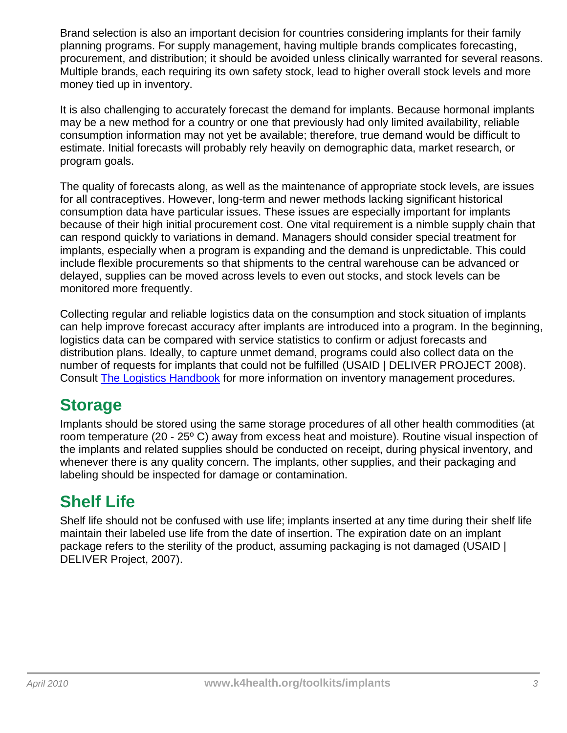Brand selection is also an important decision for countries considering implants for their family planning programs. For supply management, having multiple brands complicates forecasting, procurement, and distribution; it should be avoided unless clinically warranted for several reasons. Multiple brands, each requiring its own safety stock, lead to higher overall stock levels and more money tied up in inventory.

It is also challenging to accurately forecast the demand for implants. Because hormonal implants may be a new method for a country or one that previously had only limited availability, reliable consumption information may not yet be available; therefore, true demand would be difficult to estimate. Initial forecasts will probably rely heavily on demographic data, market research, or program goals.

The quality of forecasts along, as well as the maintenance of appropriate stock levels, are issues for all contraceptives. However, long-term and newer methods lacking significant historical consumption data have particular issues. These issues are especially important for implants because of their high initial procurement cost. One vital requirement is a nimble supply chain that can respond quickly to variations in demand. Managers should consider special treatment for implants, especially when a program is expanding and the demand is unpredictable. This could include flexible procurements so that shipments to the central warehouse can be advanced or delayed, supplies can be moved across levels to even out stocks, and stock levels can be monitored more frequently.

Collecting regular and reliable logistics data on the consumption and stock situation of implants can help improve forecast accuracy after implants are introduced into a program. In the beginning, logistics data can be compared with service statistics to confirm or adjust forecasts and distribution plans. Ideally, to capture unmet demand, programs could also collect data on the number of requests for implants that could not be fulfilled (USAID | DELIVER PROJECT 2008). Consult [The Logistics Handbook](http://deliver.jsi.com/dlvr_content/resources/allpubs/guidelines/LogiHand.pdf) for more information on inventory management procedures.

### **Storage**

Implants should be stored using the same storage procedures of all other health commodities (at room temperature (20 - 25º C) away from excess heat and moisture). Routine visual inspection of the implants and related supplies should be conducted on receipt, during physical inventory, and whenever there is any quality concern. The implants, other supplies, and their packaging and labeling should be inspected for damage or contamination.

# **Shelf Life**

Shelf life should not be confused with use life; implants inserted at any time during their shelf life maintain their labeled use life from the date of insertion. The expiration date on an implant package refers to the sterility of the product, assuming packaging is not damaged (USAID | DELIVER Project, 2007).